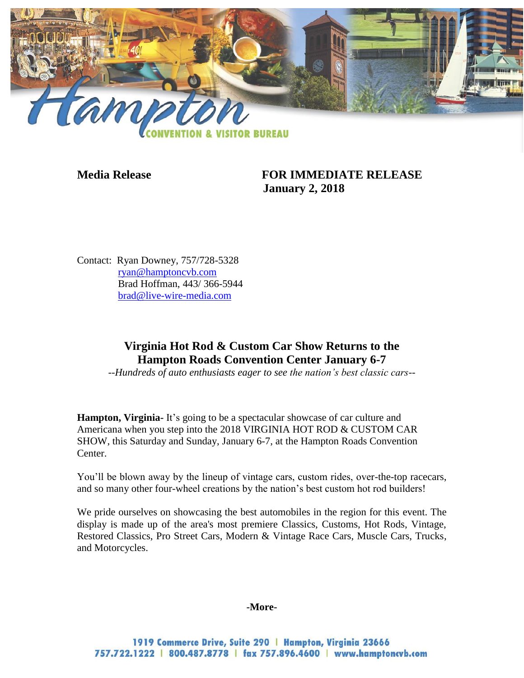

**Media Release FOR IMMEDIATE RELEASE January 2, 2018**

Contact: Ryan Downey, 757/728-5328 [ryan@hamptoncvb.com](mailto:ryan@hamptoncvb.com) Brad Hoffman, 443/ 366-5944 [brad@live-wire-media.com](mailto:brad@live-wire-media.com)

# **Virginia Hot Rod & Custom Car Show Returns to the Hampton Roads Convention Center January 6-7**

*--Hundreds of auto enthusiasts eager to see the nation's best classic cars--*

**Hampton, Virginia-** It's going to be a spectacular showcase of car culture and Americana when you step into the 2018 VIRGINIA HOT ROD & CUSTOM CAR SHOW, this Saturday and Sunday, January 6-7, at the Hampton Roads Convention Center.

You'll be blown away by the lineup of vintage cars, custom rides, over-the-top racecars, and so many other four-wheel creations by the nation's best custom hot rod builders!

We pride ourselves on showcasing the best automobiles in the region for this event. The display is made up of the area's most premiere Classics, Customs, Hot Rods, Vintage, Restored Classics, Pro Street Cars, Modern & Vintage Race Cars, Muscle Cars, Trucks, and Motorcycles.

#### **-More-**

1919 Commerce Drive, Suite 290 | Hampton, Virginia 23666 757.722.1222 | 800.487.8778 | fax 757.896.4600 | www.hamptoncvb.com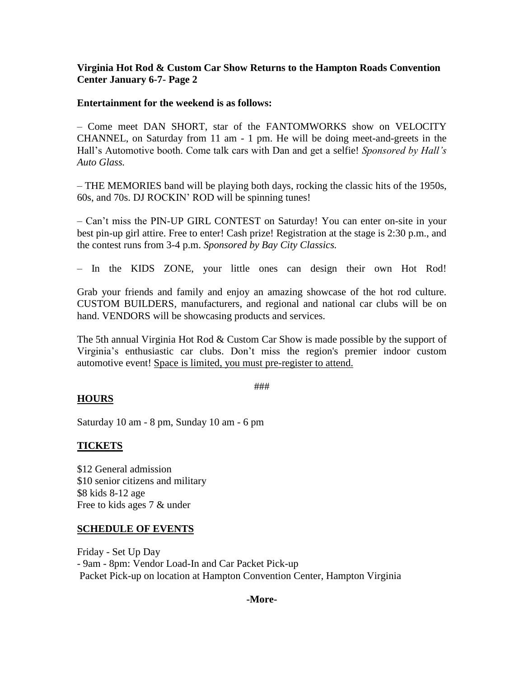## **Virginia Hot Rod & Custom Car Show Returns to the Hampton Roads Convention Center January 6-7- Page 2**

### **Entertainment for the weekend is as follows:**

– Come meet DAN SHORT, star of the FANTOMWORKS show on VELOCITY CHANNEL, on Saturday from 11 am - 1 pm. He will be doing meet-and-greets in the Hall's Automotive booth. Come talk cars with Dan and get a selfie! *Sponsored by Hall's Auto Glass.* 

– THE MEMORIES band will be playing both days, rocking the classic hits of the 1950s, 60s, and 70s. DJ ROCKIN' ROD will be spinning tunes!

– Can't miss the PIN-UP GIRL CONTEST on Saturday! You can enter on-site in your best pin-up girl attire. Free to enter! Cash prize! Registration at the stage is 2:30 p.m., and the contest runs from 3-4 p.m. *Sponsored by Bay City Classics.*

– In the KIDS ZONE, your little ones can design their own Hot Rod!

Grab your friends and family and enjoy an amazing showcase of the hot rod culture. CUSTOM BUILDERS, manufacturers, and regional and national car clubs will be on hand. VENDORS will be showcasing products and services.

The 5th annual Virginia Hot Rod & Custom Car Show is made possible by the support of Virginia's enthusiastic car clubs. Don't miss the region's premier indoor custom automotive event! Space is limited, you must pre-register to attend.

###

## **HOURS**

Saturday 10 am - 8 pm, Sunday 10 am - 6 pm

## **TICKETS**

\$12 General admission \$10 senior citizens and military \$8 kids 8-12 age Free to kids ages 7 & under

### **SCHEDULE OF EVENTS**

Friday - Set Up Day - 9am - 8pm: Vendor Load-In and Car Packet Pick-up Packet Pick-up on location at Hampton Convention Center, Hampton Virginia

### **-More-**